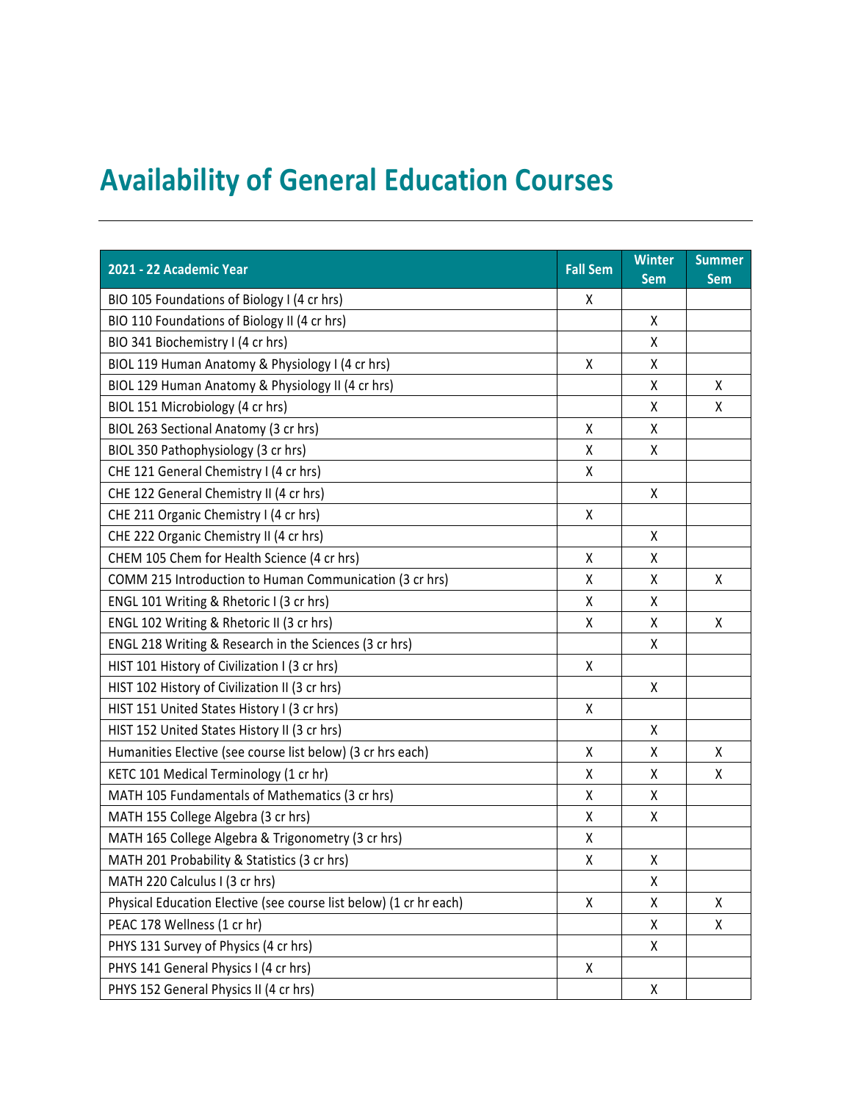## **Availability of General Education Courses**

| 2021 - 22 Academic Year                                            | <b>Fall Sem</b> | <b>Winter</b><br><b>Sem</b> | <b>Summer</b><br><b>Sem</b> |
|--------------------------------------------------------------------|-----------------|-----------------------------|-----------------------------|
| BIO 105 Foundations of Biology I (4 cr hrs)                        | Χ               |                             |                             |
| BIO 110 Foundations of Biology II (4 cr hrs)                       |                 | Χ                           |                             |
| BIO 341 Biochemistry I (4 cr hrs)                                  |                 | Χ                           |                             |
| BIOL 119 Human Anatomy & Physiology I (4 cr hrs)                   | Χ               | Χ                           |                             |
| BIOL 129 Human Anatomy & Physiology II (4 cr hrs)                  |                 | Χ                           | Χ                           |
| BIOL 151 Microbiology (4 cr hrs)                                   |                 | χ                           | Χ                           |
| BIOL 263 Sectional Anatomy (3 cr hrs)                              | χ               | Χ                           |                             |
| BIOL 350 Pathophysiology (3 cr hrs)                                | Χ               | Χ                           |                             |
| CHE 121 General Chemistry I (4 cr hrs)                             | Χ               |                             |                             |
| CHE 122 General Chemistry II (4 cr hrs)                            |                 | X                           |                             |
| CHE 211 Organic Chemistry I (4 cr hrs)                             | Χ               |                             |                             |
| CHE 222 Organic Chemistry II (4 cr hrs)                            |                 | Χ                           |                             |
| CHEM 105 Chem for Health Science (4 cr hrs)                        | χ               | Χ                           |                             |
| COMM 215 Introduction to Human Communication (3 cr hrs)            | Χ               | Χ                           | X                           |
| ENGL 101 Writing & Rhetoric I (3 cr hrs)                           | Χ               | Χ                           |                             |
| ENGL 102 Writing & Rhetoric II (3 cr hrs)                          | χ               | χ                           | Χ                           |
| ENGL 218 Writing & Research in the Sciences (3 cr hrs)             |                 | Χ                           |                             |
| HIST 101 History of Civilization I (3 cr hrs)                      | Χ               |                             |                             |
| HIST 102 History of Civilization II (3 cr hrs)                     |                 | Χ                           |                             |
| HIST 151 United States History I (3 cr hrs)                        | Χ               |                             |                             |
| HIST 152 United States History II (3 cr hrs)                       |                 | Χ                           |                             |
| Humanities Elective (see course list below) (3 cr hrs each)        | Χ               | Χ                           | Χ                           |
| KETC 101 Medical Terminology (1 cr hr)                             | Χ               | Χ                           | X                           |
| MATH 105 Fundamentals of Mathematics (3 cr hrs)                    | χ               | Χ                           |                             |
| MATH 155 College Algebra (3 cr hrs)                                | χ               | Χ                           |                             |
| MATH 165 College Algebra & Trigonometry (3 cr hrs)                 | Χ               |                             |                             |
| MATH 201 Probability & Statistics (3 cr hrs)                       | Χ               | χ                           |                             |
| MATH 220 Calculus I (3 cr hrs)                                     |                 | Χ                           |                             |
| Physical Education Elective (see course list below) (1 cr hr each) | X               | Χ                           | Χ                           |
| PEAC 178 Wellness (1 cr hr)                                        |                 | χ                           | X                           |
| PHYS 131 Survey of Physics (4 cr hrs)                              |                 | X                           |                             |
| PHYS 141 General Physics I (4 cr hrs)                              | X               |                             |                             |
| PHYS 152 General Physics II (4 cr hrs)                             |                 | X                           |                             |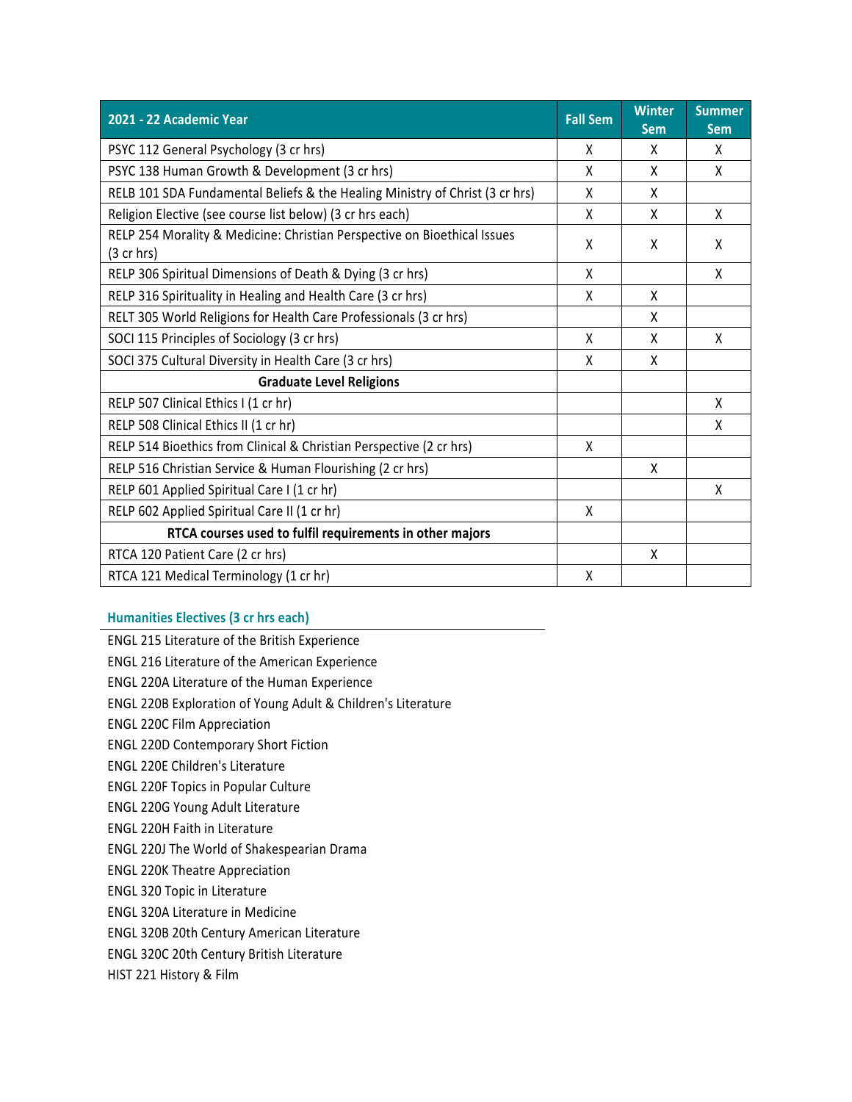| 2021 - 22 Academic Year                                                                  | <b>Fall Sem</b> | <b>Winter</b><br><b>Sem</b> | <b>Summer</b><br><b>Sem</b> |
|------------------------------------------------------------------------------------------|-----------------|-----------------------------|-----------------------------|
| PSYC 112 General Psychology (3 cr hrs)                                                   | x               | X                           | X                           |
| PSYC 138 Human Growth & Development (3 cr hrs)                                           | X               | X                           | X                           |
| RELB 101 SDA Fundamental Beliefs & the Healing Ministry of Christ (3 cr hrs)             | X               | X                           |                             |
| Religion Elective (see course list below) (3 cr hrs each)                                | X               | X                           | X                           |
| RELP 254 Morality & Medicine: Christian Perspective on Bioethical Issues<br>$(3$ cr hrs) | X               | X                           | X                           |
| RELP 306 Spiritual Dimensions of Death & Dying (3 cr hrs)                                | X               |                             | X                           |
| RELP 316 Spirituality in Healing and Health Care (3 cr hrs)                              | X               | X                           |                             |
| RELT 305 World Religions for Health Care Professionals (3 cr hrs)                        |                 | X                           |                             |
| SOCI 115 Principles of Sociology (3 cr hrs)                                              | X               | X                           | X                           |
| SOCI 375 Cultural Diversity in Health Care (3 cr hrs)                                    | χ               | X                           |                             |
| <b>Graduate Level Religions</b>                                                          |                 |                             |                             |
| RELP 507 Clinical Ethics I (1 cr hr)                                                     |                 |                             | X                           |
| RELP 508 Clinical Ethics II (1 cr hr)                                                    |                 |                             | X                           |
| RELP 514 Bioethics from Clinical & Christian Perspective (2 cr hrs)                      | X               |                             |                             |
| RELP 516 Christian Service & Human Flourishing (2 cr hrs)                                |                 | X                           |                             |
| RELP 601 Applied Spiritual Care I (1 cr hr)                                              |                 |                             | X                           |
| RELP 602 Applied Spiritual Care II (1 cr hr)                                             | X               |                             |                             |
| RTCA courses used to fulfil requirements in other majors                                 |                 |                             |                             |
| RTCA 120 Patient Care (2 cr hrs)                                                         |                 | X                           |                             |
| RTCA 121 Medical Terminology (1 cr hr)                                                   | Χ               |                             |                             |

## **Humanities Electives (3 cr hrs each)**

ENGL 215 Literature of the British Experience

ENGL 216 Literature of the American Experience

ENGL 220A Literature of the Human Experience

ENGL 220B Exploration of Young Adult & Children's Literature

ENGL 220C Film Appreciation

ENGL 220D Contemporary Short Fiction

ENGL 220E Children's Literature

ENGL 220F Topics in Popular Culture

ENGL 220G Young Adult Literature

ENGL 220H Faith in Literature

ENGL 220J The World of Shakespearian Drama

ENGL 220K Theatre Appreciation

ENGL 320 Topic in Literature

ENGL 320A Literature in Medicine

ENGL 320B 20th Century American Literature

ENGL 320C 20th Century British Literature

HIST 221 History & Film